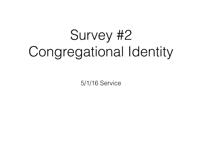# Survey #2 Congregational Identity

5/1/16 Service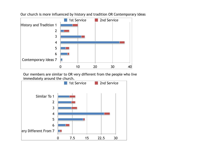

Our church is more influenced by history and tradition OR Contemporary Ideas

Our members are similar to OR very different from the people who live immediately around the church.

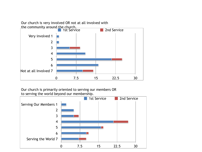# Our church is very involved OR not at all involved with



Our church is primarily oriented to serving our members OR to serving the world beyond our membership.

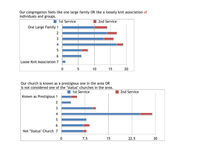Our congregation feels like one large family OR like a loosely knit association of individuals and groups.



Our church is known as a prestigious one in the area OR is not considered one of the "status" churches in the area.

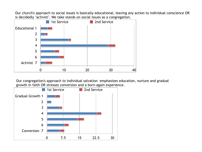Our church's approach to social issues is basically educational, leaving any action to individual conscience OR is decidedly "activist". We take stands on social issues as a congregation.



Our congregation's approach to individual salvation emphasizes education, nurture and gradual growth in faith OR stresses conversion and a born-again experience.

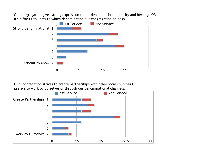Our congregation gives strong expression to our denominational identity and heritage OR it's difficult to know to which denomination our congregation belongs.



Our congregation strives to create partnerships with other local churches OR prefers to work by ourselves or through our denominational channels.

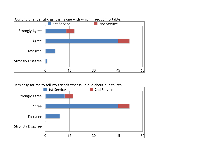

Our church's identity, as it is, is one with which I feel comfortable.

#### It is easy for me to tell my friends what is unique about our church.

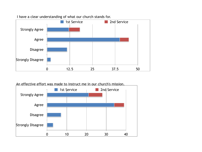

# I have a clear understanding of what our church stands for.

An effective effort was made to instruct me in our church's mission.